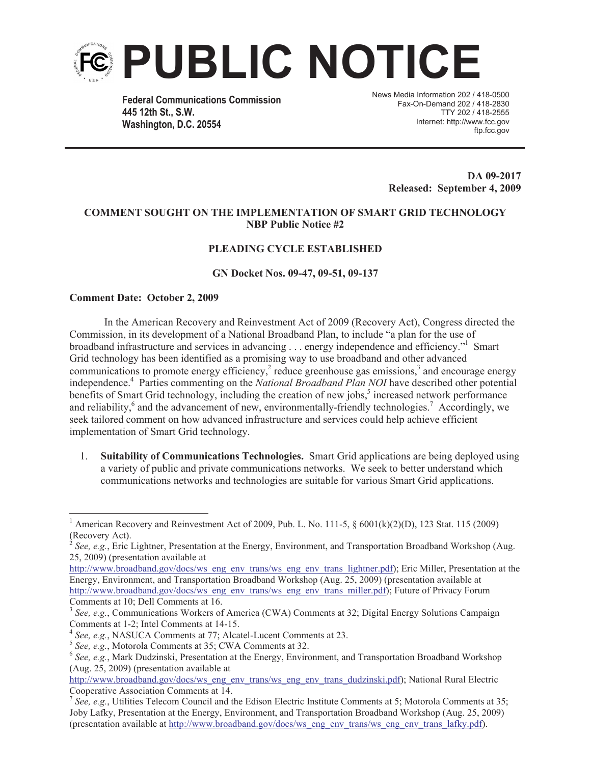

**Federal Communications Commission 445 12th St., S.W. Washington, D.C. 20554**

News Media Information 202 / 418-0500 Fax-On-Demand 202 / 418-2830 TTY 202 / 418-2555 Internet: http://www.fcc.gov ftp.fcc.gov

> **DA 09-2017 Released: September 4, 2009**

### **COMMENT SOUGHT ON THE IMPLEMENTATION OF SMART GRID TECHNOLOGY NBP Public Notice #2**

# **PLEADING CYCLE ESTABLISHED**

### **GN Docket Nos. 09-47, 09-51, 09-137**

#### **Comment Date: October 2, 2009**

In the American Recovery and Reinvestment Act of 2009 (Recovery Act), Congress directed the Commission, in its development of a National Broadband Plan, to include "a plan for the use of broadband infrastructure and services in advancing . . . energy independence and efficiency." Smart Grid technology has been identified as a promising way to use broadband and other advanced communications to promote energy efficiency,<sup>2</sup> reduce greenhouse gas emissions,<sup>3</sup> and encourage energy independence.<sup>4</sup> Parties commenting on the *National Broadband Plan NOI* have described other potential benefits of Smart Grid technology, including the creation of new jobs,<sup>5</sup> increased network performance and reliability,<sup>6</sup> and the advancement of new, environmentally-friendly technologies.<sup>7</sup> Accordingly, we seek tailored comment on how advanced infrastructure and services could help achieve efficient implementation of Smart Grid technology.

1. **Suitability of Communications Technologies.** Smart Grid applications are being deployed using a variety of public and private communications networks. We seek to better understand which communications networks and technologies are suitable for various Smart Grid applications.

<sup>1</sup> American Recovery and Reinvestment Act of 2009, Pub. L. No. 111-5, § 6001(k)(2)(D), 123 Stat. 115 (2009) (Recovery Act).<br> $2 S_{22} = 5 F_{\text{R}}^2$ 

*See, e.g.*, Eric Lightner, Presentation at the Energy, Environment, and Transportation Broadband Workshop (Aug. 25, 2009) (presentation available at

http://www.broadband.gov/docs/ws\_eng\_env\_trans/ws\_eng\_env\_trans\_lightner.pdf); Eric Miller, Presentation at the Energy, Environment, and Transportation Broadband Workshop (Aug. 25, 2009) (presentation available at http://www.broadband.gov/docs/ws\_eng\_env\_trans/ws\_eng\_env\_trans\_miller.pdf); Future of Privacy Forum Comments at 10; Dell Comments at 16.

<sup>&</sup>lt;sup>3</sup> See, e.g., Communications Workers of America (CWA) Comments at 32; Digital Energy Solutions Campaign Comments at 1-2; Intel Comments at 14-15.

<sup>4</sup> *See, e.g.*, NASUCA Comments at 77; Alcatel-Lucent Comments at 23.

<sup>5</sup> *See, e.g.*, Motorola Comments at 35; CWA Comments at 32.

<sup>&</sup>lt;sup>6</sup> See, e.g., Mark Dudzinski, Presentation at the Energy, Environment, and Transportation Broadband Workshop (Aug. 25, 2009) (presentation available at

http://www.broadband.gov/docs/ws\_eng\_env\_trans/ws\_eng\_env\_trans\_dudzinski.pdf); National Rural Electric Cooperative Association Comments at 14.

<sup>&</sup>lt;sup>7</sup> See, e.g., Utilities Telecom Council and the Edison Electric Institute Comments at 5; Motorola Comments at 35; Joby Lafky, Presentation at the Energy, Environment, and Transportation Broadband Workshop (Aug. 25, 2009) (presentation available at http://www.broadband.gov/docs/ws\_eng\_env\_trans/ws\_eng\_env\_trans\_lafky.pdf).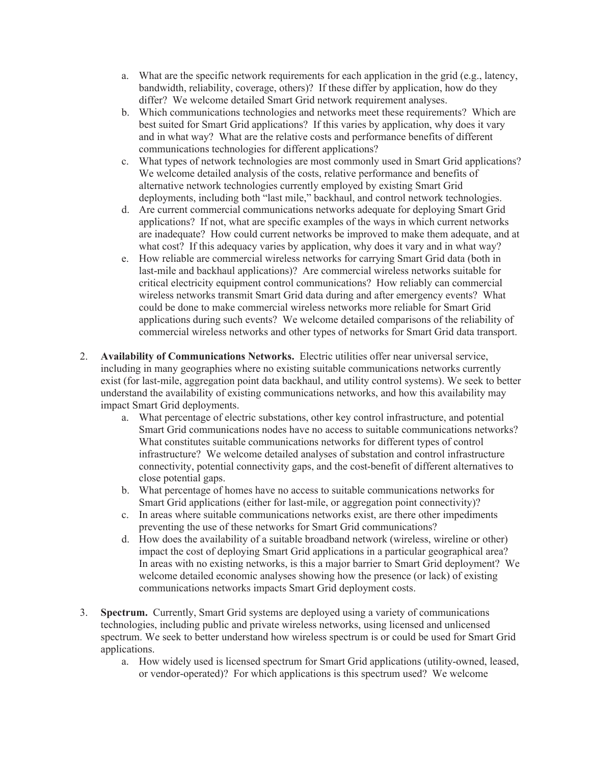- a. What are the specific network requirements for each application in the grid (e.g., latency, bandwidth, reliability, coverage, others)? If these differ by application, how do they differ? We welcome detailed Smart Grid network requirement analyses.
- b. Which communications technologies and networks meet these requirements? Which are best suited for Smart Grid applications? If this varies by application, why does it vary and in what way? What are the relative costs and performance benefits of different communications technologies for different applications?
- c. What types of network technologies are most commonly used in Smart Grid applications? We welcome detailed analysis of the costs, relative performance and benefits of alternative network technologies currently employed by existing Smart Grid deployments, including both "last mile," backhaul, and control network technologies.
- d. Are current commercial communications networks adequate for deploying Smart Grid applications? If not, what are specific examples of the ways in which current networks are inadequate? How could current networks be improved to make them adequate, and at what cost? If this adequacy varies by application, why does it vary and in what way?
- e. How reliable are commercial wireless networks for carrying Smart Grid data (both in last-mile and backhaul applications)? Are commercial wireless networks suitable for critical electricity equipment control communications? How reliably can commercial wireless networks transmit Smart Grid data during and after emergency events? What could be done to make commercial wireless networks more reliable for Smart Grid applications during such events? We welcome detailed comparisons of the reliability of commercial wireless networks and other types of networks for Smart Grid data transport.
- 2. **Availability of Communications Networks.** Electric utilities offer near universal service, including in many geographies where no existing suitable communications networks currently exist (for last-mile, aggregation point data backhaul, and utility control systems). We seek to better understand the availability of existing communications networks, and how this availability may impact Smart Grid deployments.
	- a. What percentage of electric substations, other key control infrastructure, and potential Smart Grid communications nodes have no access to suitable communications networks? What constitutes suitable communications networks for different types of control infrastructure? We welcome detailed analyses of substation and control infrastructure connectivity, potential connectivity gaps, and the cost-benefit of different alternatives to close potential gaps.
	- b. What percentage of homes have no access to suitable communications networks for Smart Grid applications (either for last-mile, or aggregation point connectivity)?
	- c. In areas where suitable communications networks exist, are there other impediments preventing the use of these networks for Smart Grid communications?
	- d. How does the availability of a suitable broadband network (wireless, wireline or other) impact the cost of deploying Smart Grid applications in a particular geographical area? In areas with no existing networks, is this a major barrier to Smart Grid deployment? We welcome detailed economic analyses showing how the presence (or lack) of existing communications networks impacts Smart Grid deployment costs.
- 3. **Spectrum.** Currently, Smart Grid systems are deployed using a variety of communications technologies, including public and private wireless networks, using licensed and unlicensed spectrum. We seek to better understand how wireless spectrum is or could be used for Smart Grid applications.
	- a. How widely used is licensed spectrum for Smart Grid applications (utility-owned, leased, or vendor-operated)? For which applications is this spectrum used? We welcome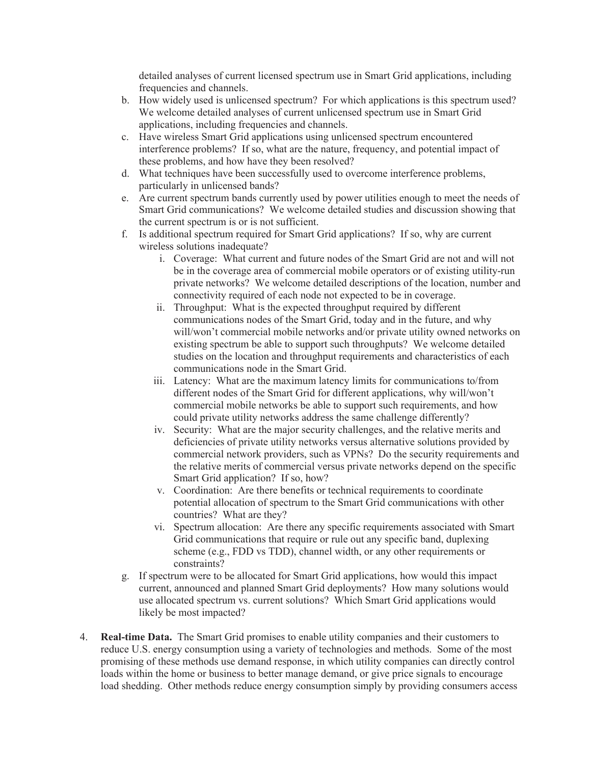detailed analyses of current licensed spectrum use in Smart Grid applications, including frequencies and channels.

- b. How widely used is unlicensed spectrum? For which applications is this spectrum used? We welcome detailed analyses of current unlicensed spectrum use in Smart Grid applications, including frequencies and channels.
- c. Have wireless Smart Grid applications using unlicensed spectrum encountered interference problems? If so, what are the nature, frequency, and potential impact of these problems, and how have they been resolved?
- d. What techniques have been successfully used to overcome interference problems, particularly in unlicensed bands?
- e. Are current spectrum bands currently used by power utilities enough to meet the needs of Smart Grid communications? We welcome detailed studies and discussion showing that the current spectrum is or is not sufficient.
- f. Is additional spectrum required for Smart Grid applications? If so, why are current wireless solutions inadequate?
	- i. Coverage: What current and future nodes of the Smart Grid are not and will not be in the coverage area of commercial mobile operators or of existing utility-run private networks? We welcome detailed descriptions of the location, number and connectivity required of each node not expected to be in coverage.
	- ii. Throughput: What is the expected throughput required by different communications nodes of the Smart Grid, today and in the future, and why will/won't commercial mobile networks and/or private utility owned networks on existing spectrum be able to support such throughputs? We welcome detailed studies on the location and throughput requirements and characteristics of each communications node in the Smart Grid.
	- iii. Latency: What are the maximum latency limits for communications to/from different nodes of the Smart Grid for different applications, why will/won't commercial mobile networks be able to support such requirements, and how could private utility networks address the same challenge differently?
	- iv. Security: What are the major security challenges, and the relative merits and deficiencies of private utility networks versus alternative solutions provided by commercial network providers, such as VPNs? Do the security requirements and the relative merits of commercial versus private networks depend on the specific Smart Grid application? If so, how?
	- v. Coordination: Are there benefits or technical requirements to coordinate potential allocation of spectrum to the Smart Grid communications with other countries? What are they?
	- vi. Spectrum allocation: Are there any specific requirements associated with Smart Grid communications that require or rule out any specific band, duplexing scheme (e.g., FDD vs TDD), channel width, or any other requirements or constraints?
- g. If spectrum were to be allocated for Smart Grid applications, how would this impact current, announced and planned Smart Grid deployments? How many solutions would use allocated spectrum vs. current solutions? Which Smart Grid applications would likely be most impacted?
- 4. **Real-time Data.** The Smart Grid promises to enable utility companies and their customers to reduce U.S. energy consumption using a variety of technologies and methods. Some of the most promising of these methods use demand response, in which utility companies can directly control loads within the home or business to better manage demand, or give price signals to encourage load shedding. Other methods reduce energy consumption simply by providing consumers access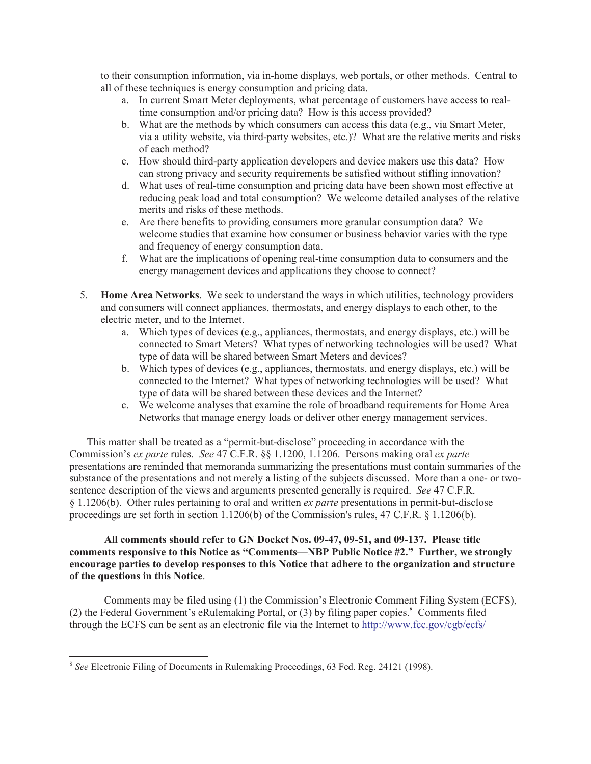to their consumption information, via in-home displays, web portals, or other methods. Central to all of these techniques is energy consumption and pricing data.

- a. In current Smart Meter deployments, what percentage of customers have access to realtime consumption and/or pricing data? How is this access provided?
- b. What are the methods by which consumers can access this data (e.g., via Smart Meter, via a utility website, via third-party websites, etc.)? What are the relative merits and risks of each method?
- c. How should third-party application developers and device makers use this data? How can strong privacy and security requirements be satisfied without stifling innovation?
- d. What uses of real-time consumption and pricing data have been shown most effective at reducing peak load and total consumption? We welcome detailed analyses of the relative merits and risks of these methods.
- e. Are there benefits to providing consumers more granular consumption data? We welcome studies that examine how consumer or business behavior varies with the type and frequency of energy consumption data.
- f. What are the implications of opening real-time consumption data to consumers and the energy management devices and applications they choose to connect?
- 5. **Home Area Networks**. We seek to understand the ways in which utilities, technology providers and consumers will connect appliances, thermostats, and energy displays to each other, to the electric meter, and to the Internet.
	- a. Which types of devices (e.g., appliances, thermostats, and energy displays, etc.) will be connected to Smart Meters? What types of networking technologies will be used? What type of data will be shared between Smart Meters and devices?
	- b. Which types of devices (e.g., appliances, thermostats, and energy displays, etc.) will be connected to the Internet? What types of networking technologies will be used? What type of data will be shared between these devices and the Internet?
	- c. We welcome analyses that examine the role of broadband requirements for Home Area Networks that manage energy loads or deliver other energy management services.

This matter shall be treated as a "permit-but-disclose" proceeding in accordance with the Commission's *ex parte* rules. *See* 47 C.F.R. §§ 1.1200, 1.1206. Persons making oral *ex parte* presentations are reminded that memoranda summarizing the presentations must contain summaries of the substance of the presentations and not merely a listing of the subjects discussed. More than a one- or twosentence description of the views and arguments presented generally is required. *See* 47 C.F.R. § 1.1206(b). Other rules pertaining to oral and written *ex parte* presentations in permit-but-disclose proceedings are set forth in section 1.1206(b) of the Commission's rules, 47 C.F.R. § 1.1206(b).

## **All comments should refer to GN Docket Nos. 09-47, 09-51, and 09-137. Please title comments responsive to this Notice as "Comments—NBP Public Notice #2." Further, we strongly encourage parties to develop responses to this Notice that adhere to the organization and structure of the questions in this Notice**.

Comments may be filed using (1) the Commission's Electronic Comment Filing System (ECFS), (2) the Federal Government's eRulemaking Portal, or  $(3)$  by filing paper copies.<sup>8</sup> Comments filed through the ECFS can be sent as an electronic file via the Internet to http://www.fcc.gov/cgb/ecfs/

<sup>8</sup> *See* Electronic Filing of Documents in Rulemaking Proceedings, 63 Fed. Reg. 24121 (1998).